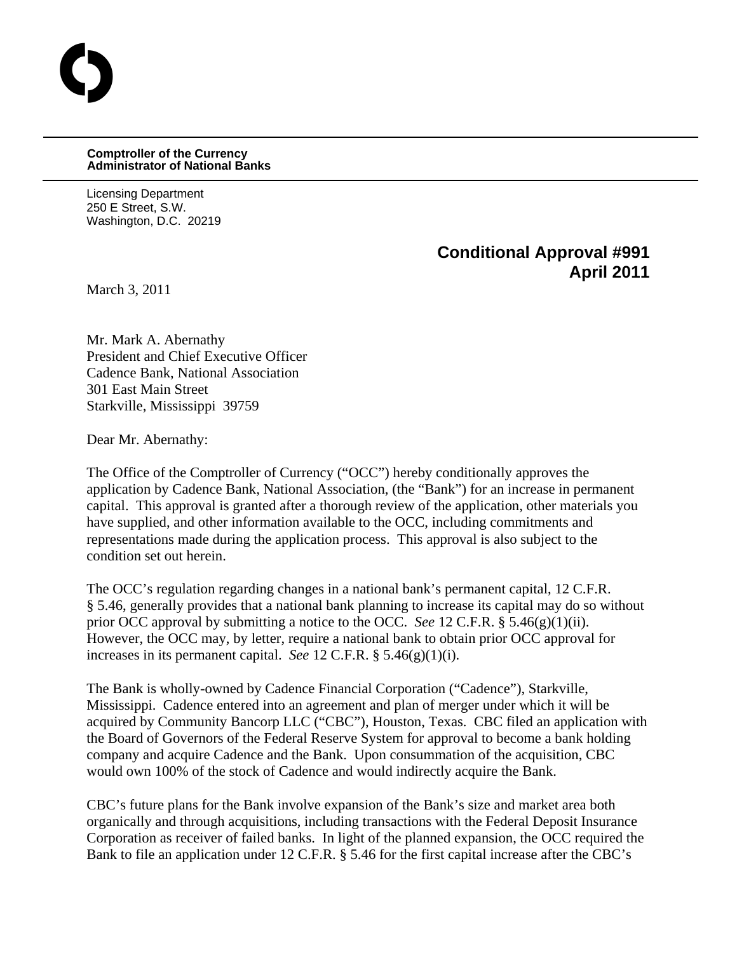## **Comptroller of the Currency Administrator of National Banks**

Licensing Department 250 E Street, S.W. Washington, D.C. 20219

## **Conditional Approval #991 April 2011**

March 3, 2011

O

Mr. Mark A. Abernathy President and Chief Executive Officer Cadence Bank, National Association 301 East Main Street Starkville, Mississippi 39759

Dear Mr. Abernathy:

The Office of the Comptroller of Currency ("OCC") hereby conditionally approves the application by Cadence Bank, National Association, (the "Bank") for an increase in permanent capital. This approval is granted after a thorough review of the application, other materials you have supplied, and other information available to the OCC, including commitments and representations made during the application process. This approval is also subject to the condition set out herein.

The OCC's regulation regarding changes in a national bank's permanent capital, 12 C.F.R. § 5.46, generally provides that a national bank planning to increase its capital may do so without prior OCC approval by submitting a notice to the OCC. *See* 12 C.F.R. § 5.46(g)(1)(ii). However, the OCC may, by letter, require a national bank to obtain prior OCC approval for increases in its permanent capital. *See* 12 C.F.R. § 5.46(g)(1)(i).

The Bank is wholly-owned by Cadence Financial Corporation ("Cadence"), Starkville, Mississippi. Cadence entered into an agreement and plan of merger under which it will be acquired by Community Bancorp LLC ("CBC"), Houston, Texas. CBC filed an application with the Board of Governors of the Federal Reserve System for approval to become a bank holding company and acquire Cadence and the Bank. Upon consummation of the acquisition, CBC would own 100% of the stock of Cadence and would indirectly acquire the Bank.

CBC's future plans for the Bank involve expansion of the Bank's size and market area both organically and through acquisitions, including transactions with the Federal Deposit Insurance Corporation as receiver of failed banks. In light of the planned expansion, the OCC required the Bank to file an application under 12 C.F.R. § 5.46 for the first capital increase after the CBC's